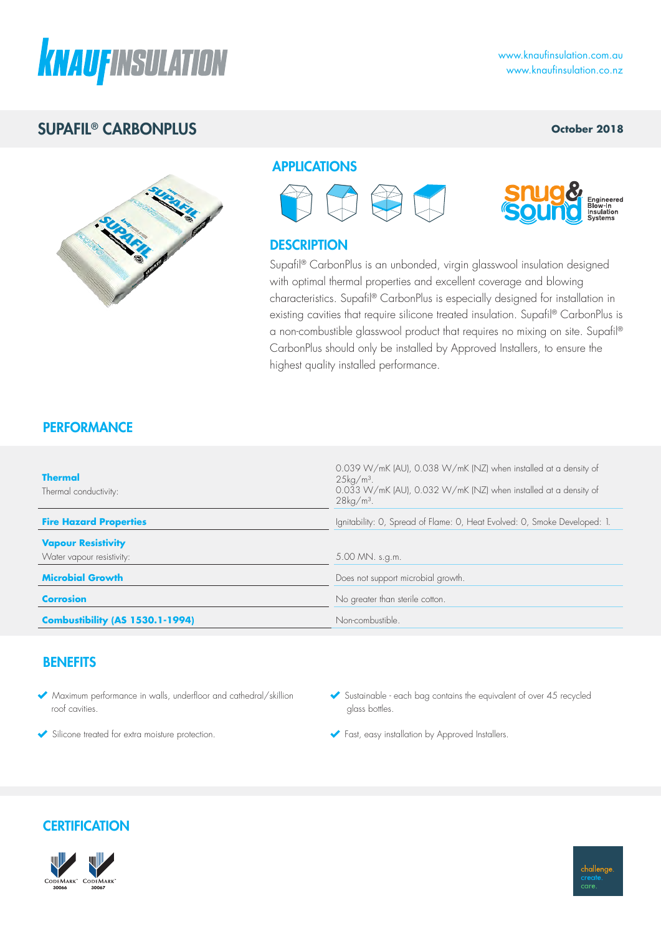

# SUPAFIL® CARBONPLUS

### **October 2018**



### **APPLICATIONS**





### **DESCRIPTION**

Supafil® CarbonPlus is an unbonded, virgin glasswool insulation designed with optimal thermal properties and excellent coverage and blowing characteristics. Supafil® CarbonPlus is especially designed for installation in existing cavities that require silicone treated insulation. Supafil® CarbonPlus is a non-combustible glasswool product that requires no mixing on site. Supafil® CarbonPlus should only be installed by Approved Installers, to ensure the highest quality installed performance.

### **PERFORMANCE**

| <b>Thermal</b><br>Thermal conductivity: | 0.039 W/mK (AU), 0.038 W/mK (NZ) when installed at a density of<br>$25\mathrm{kg/m^3}$ .<br>0.033 W/mK (AU), 0.032 W/mK (NZ) when installed at a density of<br>$28\text{kg/m}^3$ . |  |  |  |
|-----------------------------------------|------------------------------------------------------------------------------------------------------------------------------------------------------------------------------------|--|--|--|
| <b>Fire Hazard Properties</b>           | Ignitability: O, Spread of Flame: O, Heat Evolved: O, Smoke Developed: 1.                                                                                                          |  |  |  |
| <b>Vapour Resistivity</b>               |                                                                                                                                                                                    |  |  |  |
| Water vapour resistivity:               | 5.00 MN. s.g.m.                                                                                                                                                                    |  |  |  |
| <b>Microbial Growth</b>                 | Does not support microbial growth.                                                                                                                                                 |  |  |  |
| <b>Corrosion</b>                        | No greater than sterile cotton.                                                                                                                                                    |  |  |  |
| <b>Combustibility (AS 1530.1-1994)</b>  | Non-combustible.                                                                                                                                                                   |  |  |  |

### **BENEFITS**

- Maximum performance in walls, underfloor and cathedral/skillion roof cavities.
- Silicone treated for extra moisture protection.
- $\blacktriangleright$  Sustainable each bag contains the equivalent of over 45 recycled glass bottles.
- Fast, easy installation by Approved Installers.

### **CERTIFICATION**



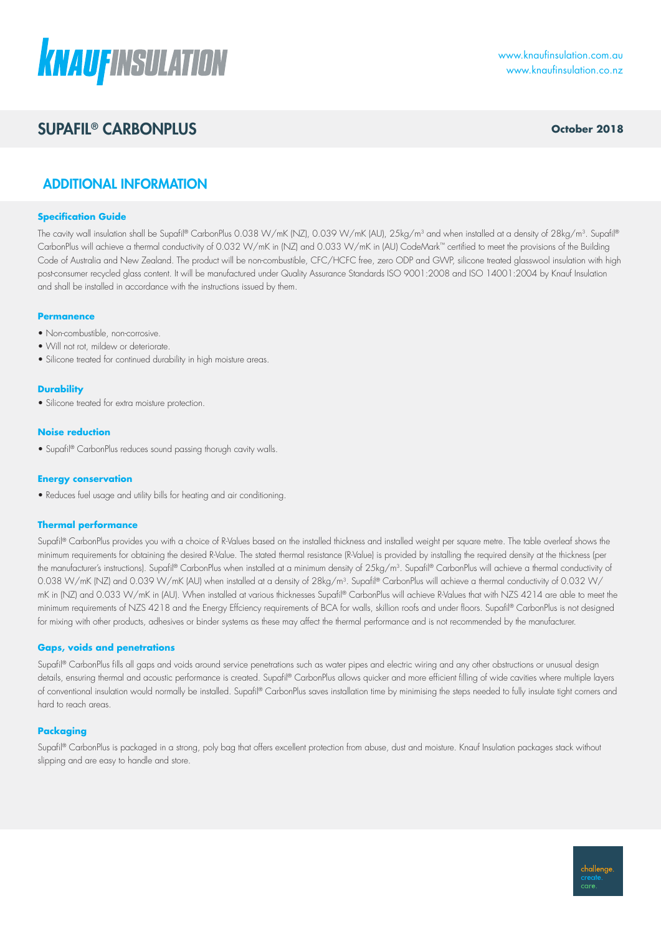

# **SUPAFIL® CARBONPLUS CONSULS October 2018**

### ADDITIONAL INFORMATION

#### **Specification Guide**

The cavity wall insulation shall be Supafil® CarbonPlus 0.038 W/mK (NZ), 0.039 W/mK (AU), 25kg/m<sup>3</sup> and when installed at a density of 28kg/m<sup>3</sup>. Supafil® CarbonPlus will achieve a thermal conductivity of 0.032 W/mK in (NZ) and 0.033 W/mK in (AU) CodeMark™ certified to meet the provisions of the Building Code of Australia and New Zealand. The product will be non-combustible, CFC/HCFC free, zero ODP and GWP, silicone treated glasswool insulation with high post-consumer recycled glass content. It will be manufactured under Quality Assurance Standards ISO 9001:2008 and ISO 14001:2004 by Knauf Insulation and shall be installed in accordance with the instructions issued by them.

#### **Permanence**

- Non-combustible, non-corrosive.
- Will not rot, mildew or deteriorate.
- Silicone treated for continued durability in high moisture areas.

#### **Durability**

• Silicone treated for extra moisture protection.

#### **Noise reduction**

• Supafil® CarbonPlus reduces sound passing thorugh cavity walls.

#### **Energy conservation**

• Reduces fuel usage and utility bills for heating and air conditioning.

#### **Thermal performance**

Supafil® CarbonPlus provides you with a choice of R-Values based on the installed thickness and installed weight per square metre. The table overleaf shows the minimum requirements for obtaining the desired R-Value. The stated thermal resistance (R-Value) is provided by installing the required density at the thickness (per the manufacturer's instructions). Supafil® CarbonPlus when installed at a minimum density of 25kg/m<sup>3</sup>. Supafil® CarbonPlus will achieve a thermal conductivity of 0.038 W/mK (NZ) and 0.039 W/mK (AU) when installed at a density of 28kg/m<sup>3</sup>. Supafil® CarbonPlus will achieve a thermal conductivity of 0.032 W/ mK in (NZ) and 0.033 W/mK in (AU). When installed at various thicknesses Supafil® CarbonPlus will achieve R-Values that with NZS 4214 are able to meet the minimum requirements of NZS 4218 and the Energy Effciency requirements of BCA for walls, skillion roofs and under floors. Supafil® CarbonPlus is not designed for mixing with other products, adhesives or binder systems as these may affect the thermal performance and is not recommended by the manufacturer.

#### **Gaps, voids and penetrations**

Supafil® CarbonPlus fills all gaps and voids around service penetrations such as water pipes and electric wiring and any other obstructions or unusual design details, ensuring thermal and acoustic performance is created. Supafil® CarbonPlus allows quicker and more efficient filling of wide cavities where multiple layers of conventional insulation would normally be installed. Supafil® CarbonPlus saves installation time by minimising the steps needed to fully insulate tight corners and hard to reach areas.

#### **Packaging**

Supafil® CarbonPlus is packaged in a strong, poly bag that offers excellent protection from abuse, dust and moisture. Knauf Insulation packages stack without slipping and are easy to handle and store.